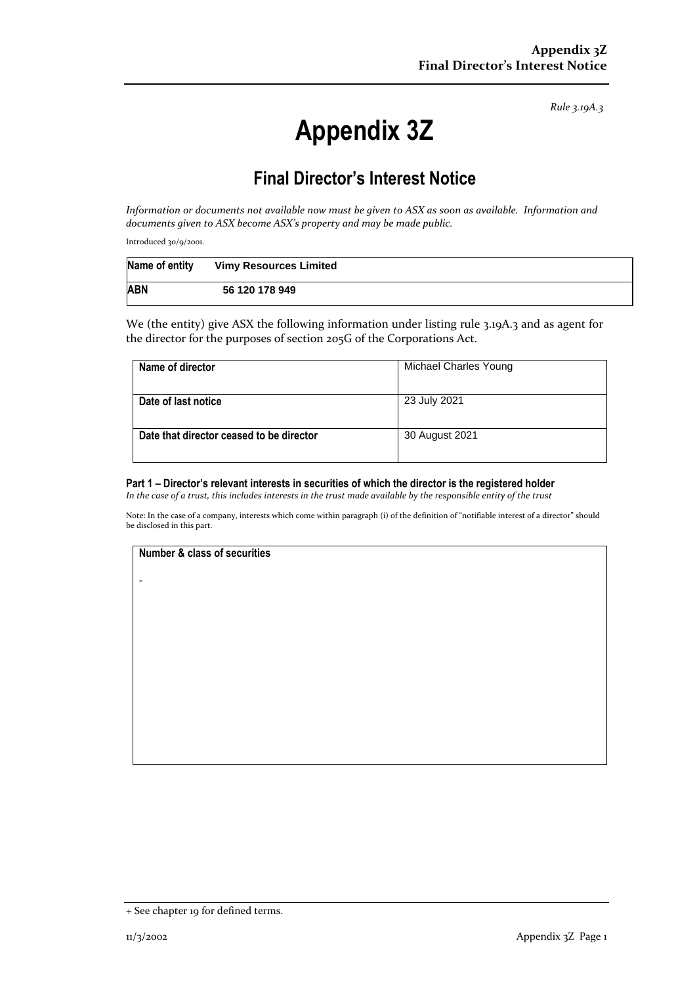*Rule 3.19A.3*

# **Appendix 3Z**

# **Final Director's Interest Notice**

*Information or documents not available now must be given to ASX as soon as available. Information and documents given to ASX become ASX's property and may be made public.*

Introduced 30/9/2001.

| Name of entity | <b>Vimy Resources Limited</b> |
|----------------|-------------------------------|
| <b>ABN</b>     | 56 120 178 949                |

We (the entity) give ASX the following information under listing rule 3.19A.3 and as agent for the director for the purposes of section 205G of the Corporations Act.

| Michael Charles Young |
|-----------------------|
|                       |
| 23 July 2021          |
|                       |
| 30 August 2021        |
|                       |
|                       |

#### **Part 1 – Director's relevant interests in securities of which the director is the registered holder**

*In the case of a trust, this includes interests in the trust made available by the responsible entity of the trust*

Note: In the case of a company, interests which come within paragraph (i) of the definition of "notifiable interest of a director" should be disclosed in this part.

#### **Number & class of securities**

-

+ See chapter 19 for defined terms.